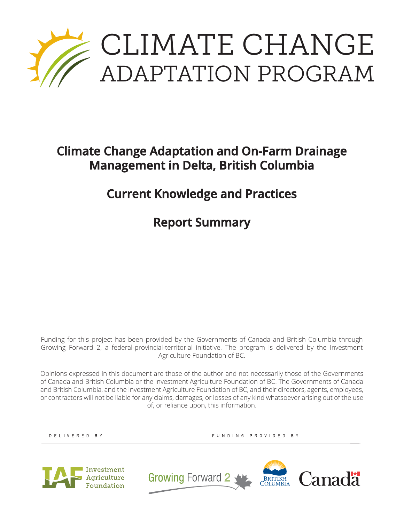

## **Climate Change Adaptation and On-Farm Drainage Management in Delta, British Columbia**

## **Current Knowledge and Practices**

**Report Summary**

Funding for this project has been provided by the Governments of Canada and British Columbia through Growing Forward 2, a federal-provincial-territorial initiative. The program is delivered by the Investment Agriculture Foundation of BC.

Opinions expressed in this document are those of the author and not necessarily those of the Governments of Canada and British Columbia or the Investment Agriculture Foundation of BC. The Governments of Canada and British Columbia, and the Investment Agriculture Foundation of BC, and their directors, agents, employees, or contractors will not be liable for any claims, damages, or losses of any kind whatsoever arising out of the use of, or reliance upon, this information.

DELIVERED BY

FUNDING PROVIDED BY



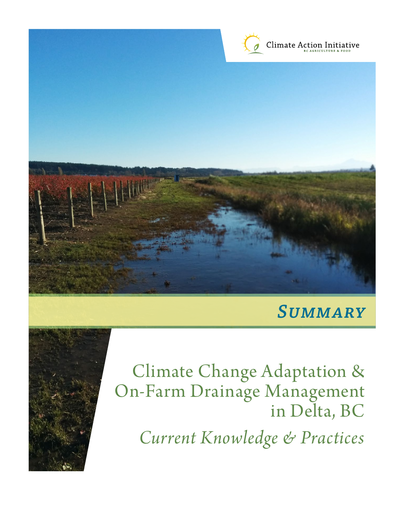

# *Summary*



Climate Change Adaptation & On-Farm Drainage Management in Delta, BC

*Current Knowledge & Practices*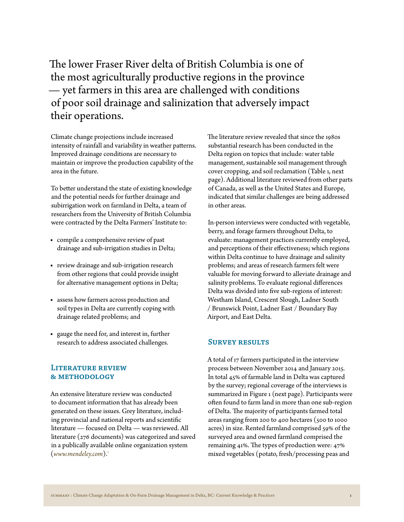The lower Fraser River delta of British Columbia is one of the most agriculturally productive regions in the province — yet farmers in this area are challenged with conditions of poor soil drainage and salinization that adversely impact their operations.

Climate change projections include increased intensity of rainfall and variability in weather patterns. Improved drainage conditions are necessary to maintain or improve the production capability of the area in the future.

To better understand the state of existing knowledge and the potential needs for further drainage and subirrigation work on farmland in Delta, a team of researchers from the University of British Columbia were contracted by the Delta Farmers' Institute to:

- compile a comprehensive review of past drainage and sub-irrigation studies in Delta;
- review drainage and sub-irrigation research from other regions that could provide insight for alternative management options in Delta;
- assess how farmers across production and soil types in Delta are currently coping with drainage related problems; and
- gauge the need for, and interest in, further research to address associated challenges.

### **Literature review & methodology**

An extensive literature review was conducted to document information that has already been generated on these issues. Grey literature, including provincial and national reports and scientific literature — focused on Delta — was reviewed. All literature (276 documents) was categorized and saved in a publically available online organization system (*www.mendeley.com*).[1](#page-7-0)

The literature review revealed that since the 1980s substantial research has been conducted in the Delta region on topics that include: water table management, sustainable soil management through cover cropping, and soil reclamation (Table 1, next page). Additional literature reviewed from other parts of Canada, as well as the United States and Europe, indicated that similar challenges are being addressed in other areas.

In-person interviews were conducted with vegetable, berry, and forage farmers throughout Delta, to evaluate: management practices currently employed, and perceptions of their effectiveness; which regions within Delta continue to have drainage and salinity problems; and areas of research farmers felt were valuable for moving forward to alleviate drainage and salinity problems. To evaluate regional differences Delta was divided into five sub-regions of interest: Westham Island, Crescent Slough, Ladner South / Brunswick Point, Ladner East / Boundary Bay Airport, and East Delta.

#### **Survey results**

A total of 17 farmers participated in the interview process between November 2014 and January 2015. In total 45% of farmable land in Delta was captured by the survey; regional coverage of the interviews is summarized in Figure 1 (next page). Participants were often found to farm land in more than one sub-region of Delta. The majority of participants farmed total areas ranging from 200 to 400 hectares (500 to 1000 acres) in size. Rented farmland comprised 59% of the surveyed area and owned farmland comprised the remaining 41%. The types of production were: 47% mixed vegetables (potato, fresh/processing peas and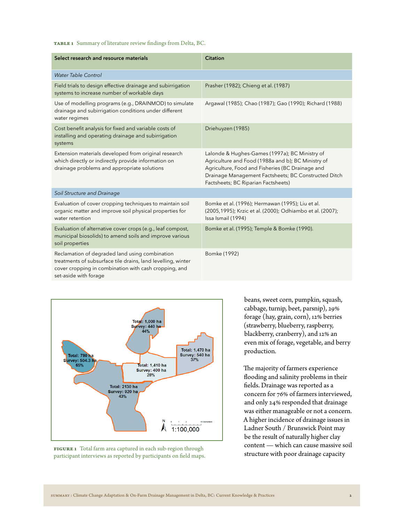**Table 1** Summary of literature review findings from Delta, BC.

| Select research and resource materials                                                                                                                                                           | <b>Citation</b>                                                                                                                                                                                                                                         |
|--------------------------------------------------------------------------------------------------------------------------------------------------------------------------------------------------|---------------------------------------------------------------------------------------------------------------------------------------------------------------------------------------------------------------------------------------------------------|
| Water Table Control                                                                                                                                                                              |                                                                                                                                                                                                                                                         |
| Field trials to design effective drainage and subirrigation<br>systems to increase number of workable days                                                                                       | Prasher (1982); Chieng et al. (1987)                                                                                                                                                                                                                    |
| Use of modelling programs (e.g., DRAINMOD) to simulate<br>drainage and subirrigation conditions under different<br>water regimes                                                                 | Argawal (1985); Chao (1987); Gao (1990); Richard (1988)                                                                                                                                                                                                 |
| Cost benefit analysis for fixed and variable costs of<br>installing and operating drainage and subirrigation<br>systems                                                                          | Driehuyzen (1985)                                                                                                                                                                                                                                       |
| Extension materials developed from original research<br>which directly or indirectly provide information on<br>drainage problems and appropriate solutions                                       | Lalonde & Hughes-Games (1997a); BC Ministry of<br>Agriculture and Food (1988a and b); BC Ministry of<br>Agriculture, Food and Fisheries (BC Drainage and<br>Drainage Management Factsheets; BC Constructed Ditch<br>Factsheets; BC Riparian Factsheets) |
| Soil Structure and Drainage                                                                                                                                                                      |                                                                                                                                                                                                                                                         |
| Evaluation of cover cropping techniques to maintain soil<br>organic matter and improve soil physical properties for<br>water retention                                                           | Bomke et al. (1996); Hermawan (1995); Liu et al.<br>(2005, 1995); Krzic et al. (2000); Odhiambo et al. (2007);<br>Issa Ismail (1994)                                                                                                                    |
| Evaluation of alternative cover crops (e.g., leaf compost,<br>municipal biosolids) to amend soils and improve various<br>soil properties                                                         | Bomke et al. (1995); Temple & Bomke (1990).                                                                                                                                                                                                             |
| Reclamation of degraded land using combination<br>treatments of subsurface tile drains, land levelling, winter<br>cover cropping in combination with cash cropping, and<br>set-aside with forage | Bomke (1992)                                                                                                                                                                                                                                            |





beans, sweet corn, pumpkin, squash, cabbage, turnip, beet, parsnip), 29% forage (hay, grain, corn), 12% berries (strawberry, blueberry, raspberry, blackberry, cranberry), and 12% an even mix of forage, vegetable, and berry production.

The majority of farmers experience flooding and salinity problems in their fields. Drainage was reported as a concern for 76% of farmers interviewed, and only 24% responded that drainage was either manageable or not a concern. A higher incidence of drainage issues in Ladner South / Brunswick Point may be the result of naturally higher clay content — which can cause massive soil structure with poor drainage capacity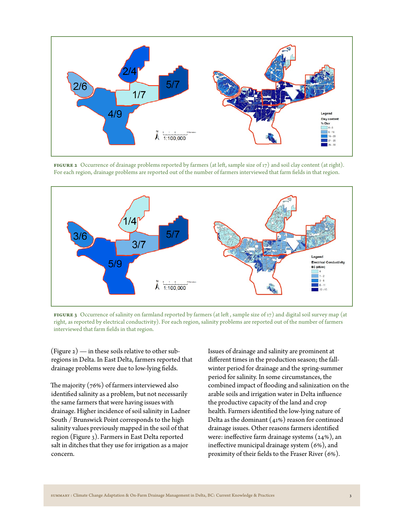

**FIGURE 2** Occurrence of drainage problems reported by farmers (at left, sample size of 17) and soil clay content (at right). For each region, drainage problems are reported out of the number of farmers interviewed that farm fields in that region.



**Figure 3** Occurrence of salinity on farmland reported by farmers (at left , sample size of 17) and digital soil survey map (at right, as reported by electrical conductivity). For each region, salinity problems are reported out of the number of farmers interviewed that farm fields in that region.

(Figure  $2$ ) — in these soils relative to other subregions in Delta. In East Delta, farmers reported that drainage problems were due to low-lying fields.

The majority  $(76%)$  of farmers interviewed also identified salinity as a problem, but not necessarily the same farmers that were having issues with drainage. Higher incidence of soil salinity in Ladner South / Brunswick Point corresponds to the high salinity values previously mapped in the soil of that region (Figure 3). Farmers in East Delta reported salt in ditches that they use for irrigation as a major concern.

Issues of drainage and salinity are prominent at different times in the production season; the fallwinter period for drainage and the spring-summer period for salinity. In some circumstances, the combined impact of flooding and salinization on the arable soils and irrigation water in Delta influence the productive capacity of the land and crop health. Farmers identified the low-lying nature of Delta as the dominant  $(41%)$  reason for continued drainage issues. Other reasons farmers identified were: ineffective farm drainage systems (24%), an ineffective municipal drainage system (6%), and proximity of their fields to the Fraser River (6%).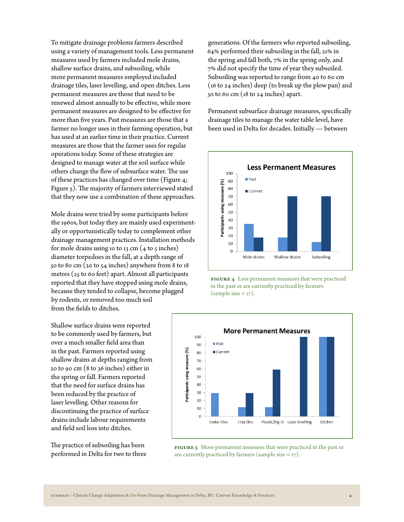To mitigate drainage problems farmers described using a variety of management tools. Less permanent measures used by farmers included mole drains, shallow surface drains, and subsoiling, while more permanent measures employed included drainage tiles, laser levelling, and open ditches. Less permanent measures are those that need to be renewed almost annually to be effective, while more permanent measures are designed to be effective for more than five years. Past measures are those that a farmer no longer uses in their farming operation, but has used at an earlier time in their practice. Current measures are those that the farmer uses for regular operations today. Some of these strategies are designed to manage water at the soil surface while others change the flow of subsurface water. The use of these practices has changed over time (Figure 4; Figure 5). The majority of farmers interviewed stated that they now use a combination of these approaches.

Mole drains were tried by some participants before the 1960s, but today they are mainly used experimentally or opportunistically today to complement other drainage management practices. Installation methods for mole drains using 10 to 13 cm  $(4 \text{ to } 5 \text{ inches})$ diameter torpedoes in the fall, at a depth range of 50 to 80 cm (20 to 54 inches) anywhere from 8 to 18 metres (25 to 60 feet) apart. Almost all participants reported that they have stopped using mole drains, because they tended to collapse, become plugged by rodents, or removed too much soil from the fields to ditches.

Shallow surface drains were reported to be commonly used by farmers, but over a much smaller field area than in the past. Farmers reported using shallow drains at depths ranging from 20 to 90 cm (8 to 36 inches) either in the spring or fall. Farmers reported that the need for surface drains has been reduced by the practice of laser levelling. Other reasons for discontinuing the practice of surface drains include labour requirements and field soil loss into ditches.

The practice of subsoiling has been performed in Delta for two to three

generations. Of the farmers who reported subsoiling, 64% performed their subsoiling in the fall, 21% in the spring and fall both, 7% in the spring only, and 7% did not specify the time of year they subsoiled. Subsoiling was reported to range from 40 to 60 cm (16 to 24 inches) deep (to break up the plow pan) and 50 to 60 cm ( $18$  to 24 inches) apart.

Permanent subsurface drainage measures, specifically drainage tiles to manage the water table level, have been used in Delta for decades. Initially — between



**Figure 4** Less permanent measures that were practiced in the past or are currently practiced by farmers (sample size  $= 17$ ).



**Figure 5** More permanent measures that were practiced in the past or are currently practiced by farmers (sample size  $= 17$ ).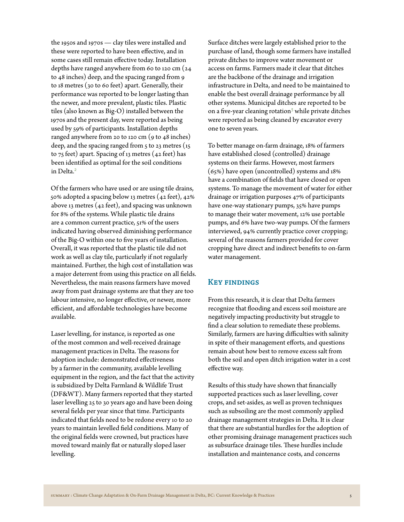the 1950s and 1970s — clay tiles were installed and these were reported to have been effective, and in some cases still remain effective today. Installation depths have ranged anywhere from 60 to 120 cm (24 to 48 inches) deep, and the spacing ranged from 9 to 18 metres (30 to 60 feet) apart. Generally, their performance was reported to be longer lasting than the newer, and more prevalent, plastic tiles. Plastic tiles (also known as Big-O) installed between the 1970s and the present day, were reported as being used by 59% of participants. Installation depths ranged anywhere from 20 to 120 cm (9 to 48 inches) deep, and the spacing ranged from  $5$  to  $23$  metres ( $15$ ) to 75 feet) apart. Spacing of 13 metres (42 feet) has been identified as optimal for the soil conditions in Delta.<sup>[2](#page-7-1)</sup>

Of the farmers who have used or are using tile drains, 50% adopted a spacing below 13 metres (42 feet), 42% above 13 metres (42 feet), and spacing was unknown for 8% of the systems. While plastic tile drains are a common current practice, 51% of the users indicated having observed diminishing performance of the Big-O within one to five years of installation. Overall, it was reported that the plastic tile did not work as well as clay tile, particularly if not regularly maintained. Further, the high cost of installation was a major deterrent from using this practice on all fields. Nevertheless, the main reasons farmers have moved away from past drainage systems are that they are too labour intensive, no longer effective, or newer, more efficient, and affordable technologies have become available.

Laser levelling, for instance, is reported as one of the most common and well-received drainage management practices in Delta. The reasons for adoption include: demonstrated effectiveness by a farmer in the community, available levelling equipment in the region, and the fact that the activity is subsidized by Delta Farmland & Wildlife Trust (DF&WT). Many farmers reported that they started laser levelling 25 to 30 years ago and have been doing several fields per year since that time. Participants indicated that fields need to be redone every 10 to 20 years to maintain levelled field conditions. Many of the original fields were crowned, but practices have moved toward mainly flat or naturally sloped laser levelling.

Surface ditches were largely established prior to the purchase of land, though some farmers have installed private ditches to improve water movement or access on farms. Farmers made it clear that ditches are the backbone of the drainage and irrigation infrastructure in Delta, and need to be maintained to enable the best overall drainage performance by all other systems. Municipal ditches are reported to be on a five-year cleaning rotation<sup>[3](#page-7-2)</sup> while private ditches were reported as being cleaned by excavator every one to seven years.

To better manage on-farm drainage, 18% of farmers have established closed (controlled) drainage systems on their farms. However, most farmers (65%) have open (uncontrolled) systems and 18% have a combination of fields that have closed or open systems. To manage the movement of water for either drainage or irrigation purposes 47% of participants have one-way stationary pumps, 35% have pumps to manage their water movement, 12% use portable pumps, and 6% have two-way pumps. Of the farmers interviewed, 94% currently practice cover cropping; several of the reasons farmers provided for cover cropping have direct and indirect benefits to on-farm water management.

### **Key findings**

From this research, it is clear that Delta farmers recognize that flooding and excess soil moisture are negatively impacting productivity but struggle to find a clear solution to remediate these problems. Similarly, farmers are having difficulties with salinity in spite of their management efforts, and questions remain about how best to remove excess salt from both the soil and open ditch irrigation water in a cost effective way.

Results of this study have shown that financially supported practices such as laser levelling, cover crops, and set-asides, as well as proven techniques such as subsoiling are the most commonly applied drainage management strategies in Delta. It is clear that there are substantial hurdles for the adoption of other promising drainage management practices such as subsurface drainage tiles. These hurdles include installation and maintenance costs, and concerns